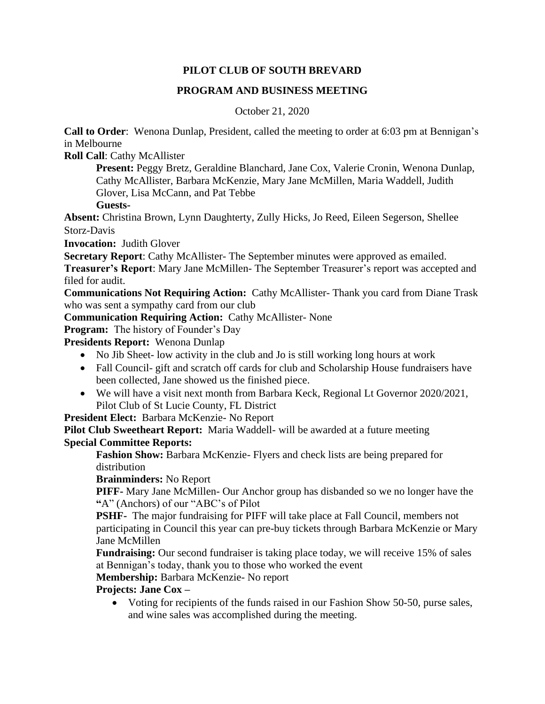## **PILOT CLUB OF SOUTH BREVARD**

## **PROGRAM AND BUSINESS MEETING**

October 21, 2020

**Call to Order**: Wenona Dunlap, President, called the meeting to order at 6:03 pm at Bennigan's in Melbourne

**Roll Call**: Cathy McAllister

**Present:** Peggy Bretz, Geraldine Blanchard, Jane Cox, Valerie Cronin, Wenona Dunlap, Cathy McAllister, Barbara McKenzie, Mary Jane McMillen, Maria Waddell, Judith Glover, Lisa McCann, and Pat Tebbe

**Guests-**

**Absent:** Christina Brown, Lynn Daughterty, Zully Hicks, Jo Reed, Eileen Segerson, Shellee Storz-Davis

**Invocation:** Judith Glover

**Secretary Report**: Cathy McAllister- The September minutes were approved as emailed.

**Treasurer's Report**: Mary Jane McMillen- The September Treasurer's report was accepted and filed for audit.

**Communications Not Requiring Action:** Cathy McAllister- Thank you card from Diane Trask who was sent a sympathy card from our club

**Communication Requiring Action:** Cathy McAllister- None

**Program:** The history of Founder's Day

**Presidents Report:** Wenona Dunlap

- No Jib Sheet- low activity in the club and Jo is still working long hours at work
- Fall Council- gift and scratch off cards for club and Scholarship House fundraisers have been collected, Jane showed us the finished piece.
- We will have a visit next month from Barbara Keck, Regional Lt Governor 2020/2021, Pilot Club of St Lucie County, FL District

**President Elect:** Barbara McKenzie- No Report

**Pilot Club Sweetheart Report:** Maria Waddell- will be awarded at a future meeting **Special Committee Reports:**

**Fashion Show:** Barbara McKenzie- Flyers and check lists are being prepared for distribution

**Brainminders:** No Report

**PIFF-** Mary Jane McMillen- Our Anchor group has disbanded so we no longer have the **"**A" (Anchors) of our "ABC's of Pilot

**PSHF-** The major fundraising for PIFF will take place at Fall Council, members not participating in Council this year can pre-buy tickets through Barbara McKenzie or Mary Jane McMillen

**Fundraising:** Our second fundraiser is taking place today, we will receive 15% of sales at Bennigan's today, thank you to those who worked the event

**Membership:** Barbara McKenzie- No report

# **Projects: Jane Cox –**

• Voting for recipients of the funds raised in our Fashion Show 50-50, purse sales, and wine sales was accomplished during the meeting.